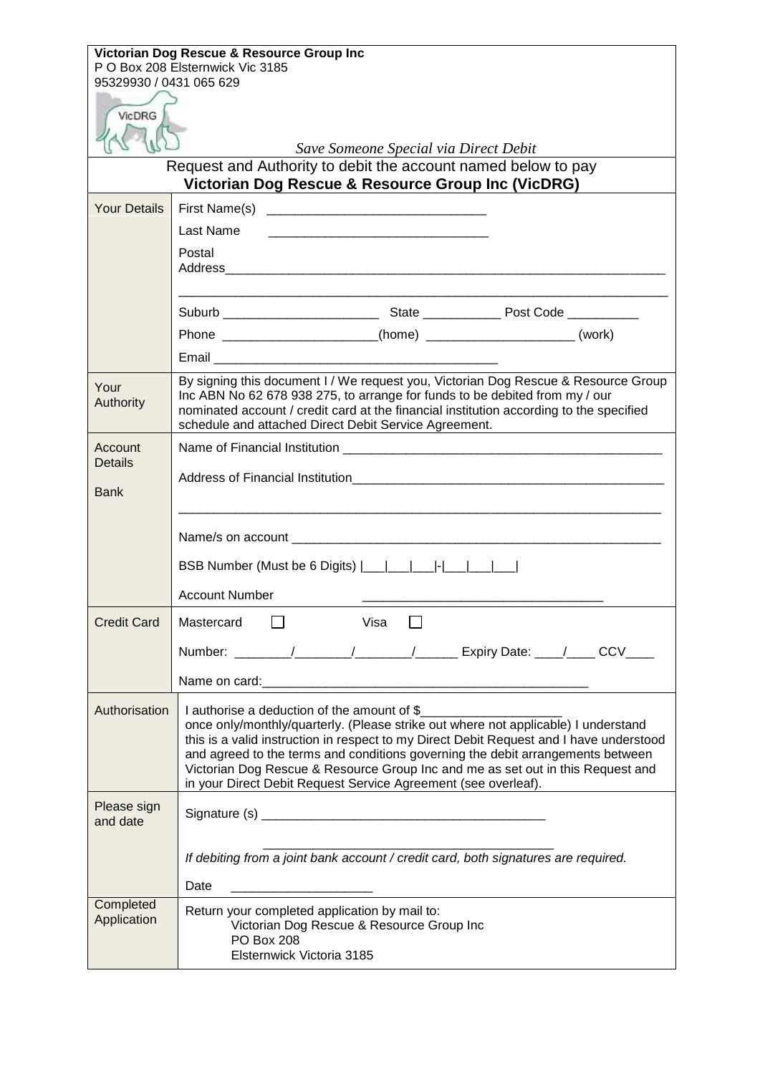| Victorian Dog Rescue & Resource Group Inc                     |                                                                                                                                                                    |  |
|---------------------------------------------------------------|--------------------------------------------------------------------------------------------------------------------------------------------------------------------|--|
| P O Box 208 Elsternwick Vic 3185<br>95329930 / 0431 065 629   |                                                                                                                                                                    |  |
|                                                               |                                                                                                                                                                    |  |
| VicDRG                                                        |                                                                                                                                                                    |  |
| Save Someone Special via Direct Debit                         |                                                                                                                                                                    |  |
| Request and Authority to debit the account named below to pay |                                                                                                                                                                    |  |
| Victorian Dog Rescue & Resource Group Inc (VicDRG)            |                                                                                                                                                                    |  |
| <b>Your Details</b>                                           |                                                                                                                                                                    |  |
|                                                               | Last Name                                                                                                                                                          |  |
|                                                               | Postal                                                                                                                                                             |  |
|                                                               |                                                                                                                                                                    |  |
|                                                               |                                                                                                                                                                    |  |
|                                                               | Phone _______________________(home) _______________________(work)                                                                                                  |  |
|                                                               | Email <b>Executive Community Community</b>                                                                                                                         |  |
|                                                               | By signing this document I / We request you, Victorian Dog Rescue & Resource Group                                                                                 |  |
| Your<br>Authority                                             | Inc ABN No 62 678 938 275, to arrange for funds to be debited from my / our                                                                                        |  |
|                                                               | nominated account / credit card at the financial institution according to the specified<br>schedule and attached Direct Debit Service Agreement.                   |  |
| Account                                                       |                                                                                                                                                                    |  |
| <b>Details</b>                                                |                                                                                                                                                                    |  |
| <b>Bank</b>                                                   |                                                                                                                                                                    |  |
|                                                               |                                                                                                                                                                    |  |
|                                                               |                                                                                                                                                                    |  |
|                                                               | BSB Number (Must be 6 Digits)                                                                                                                                      |  |
|                                                               | <b>Account Number</b>                                                                                                                                              |  |
| <b>Credit Card</b>                                            | Mastercard<br>Visa                                                                                                                                                 |  |
|                                                               | Number: _______/_______/_______/_________ Expiry Date: ____/____ CCV____                                                                                           |  |
|                                                               |                                                                                                                                                                    |  |
|                                                               |                                                                                                                                                                    |  |
| Authorisation                                                 | I authorise a deduction of the amount of \$<br>once only/monthly/quarterly. (Please strike out where not applicable) I understand                                  |  |
|                                                               | this is a valid instruction in respect to my Direct Debit Request and I have understood                                                                            |  |
|                                                               | and agreed to the terms and conditions governing the debit arrangements between<br>Victorian Dog Rescue & Resource Group Inc and me as set out in this Request and |  |
|                                                               | in your Direct Debit Request Service Agreement (see overleaf).                                                                                                     |  |
| Please sign                                                   |                                                                                                                                                                    |  |
| and date                                                      |                                                                                                                                                                    |  |
|                                                               | If debiting from a joint bank account / credit card, both signatures are required.                                                                                 |  |
|                                                               | Date<br><u> 1980 - Alexandr Alexandr III (m. 1980)</u>                                                                                                             |  |
| Completed                                                     | Return your completed application by mail to:                                                                                                                      |  |
| Application                                                   | Victorian Dog Rescue & Resource Group Inc                                                                                                                          |  |
|                                                               | <b>PO Box 208</b><br>Elsternwick Victoria 3185                                                                                                                     |  |
|                                                               |                                                                                                                                                                    |  |